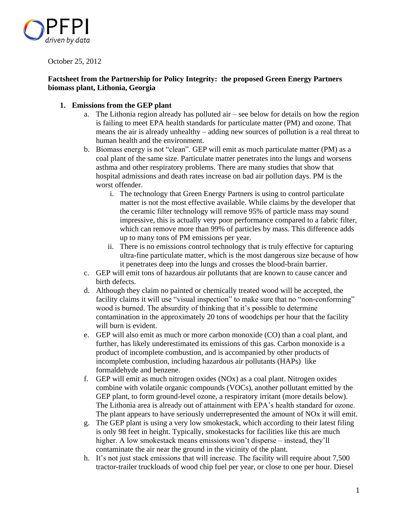

October 25, 2012

# **Factsheet from the Partnership for Policy Integrity: the proposed Green Energy Partners biomass plant, Lithonia, Georgia**

# **1. Emissions from the GEP plant**

- a. The Lithonia region already has polluted air see below for details on how the region is failing to meet EPA health standards for particulate matter (PM) and ozone. That means the air is already unhealthy – adding new sources of pollution is a real threat to human health and the environment.
- b. Biomass energy is not "clean". GEP will emit as much particulate matter (PM) as a coal plant of the same size. Particulate matter penetrates into the lungs and worsens asthma and other respiratory problems. There are many studies that show that hospital admissions and death rates increase on bad air pollution days. PM is the worst offender.
	- i. The technology that Green Energy Partners is using to control particulate matter is not the most effective available. While claims by the developer that the ceramic filter technology will remove 95% of particle mass may sound impressive, this is actually very poor performance compared to a fabric filter, which can remove more than 99% of particles by mass. This difference adds up to many tons of PM emissions per year.
	- ii. There is no emissions control technology that is truly effective for capturing ultra-fine particulate matter, which is the most dangerous size because of how it penetrates deep into the lungs and crosses the blood-brain barrier.
- c. GEP will emit tons of hazardous air pollutants that are known to cause cancer and birth defects.
- d. Although they claim no painted or chemically treated wood will be accepted, the facility claims it will use "visual inspection" to make sure that no "non-conforming" wood is burned. The absurdity of thinking that it's possible to determine contamination in the approximately 20 tons of woodchips per hour that the facility will burn is evident.
- e. GEP will also emit as much or more carbon monoxide (CO) than a coal plant, and further, has likely underestimated its emissions of this gas. Carbon monoxide is a product of incomplete combustion, and is accompanied by other products of incomplete combustion, including hazardous air pollutants (HAPs) like formaldehyde and benzene.
- f. GEP will emit as much nitrogen oxides (NOx) as a coal plant. Nitrogen oxides combine with volatile organic compounds (VOCs), another pollutant emitted by the GEP plant, to form ground-level ozone, a respiratory irritant (more details below). The Lithonia area is already out of attainment with EPA's health standard for ozone. The plant appears to have seriously underrepresented the amount of NOx it will emit.
- g. The GEP plant is using a very low smokestack, which according to their latest filing is only 98 feet in height. Typically, smokestacks for facilities like this are much higher. A low smokestack means emissions won't disperse – instead, they'll contaminate the air near the ground in the vicinity of the plant.
- h. It's not just stack emissions that will increase. The facility will require about 7,500 tractor-trailer truckloads of wood chip fuel per year, or close to one per hour. Diesel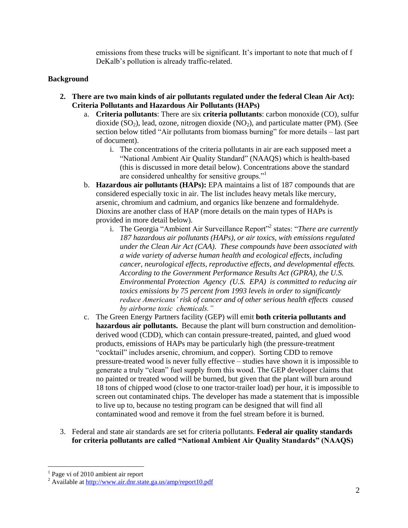emissions from these trucks will be significant. It's important to note that much of f DeKalb's pollution is already traffic-related.

# **Background**

- **2. There are two main kinds of air pollutants regulated under the federal Clean Air Act): Criteria Pollutants and Hazardous Air Pollutants (HAPs)**
	- a. **Criteria pollutants**: There are six **criteria pollutants**: carbon monoxide (CO), sulfur dioxide  $(SO_2)$ , lead, ozone, nitrogen dioxide  $(NO_2)$ , and particulate matter (PM). (See section below titled "Air pollutants from biomass burning" for more details – last part of document).
		- i. The concentrations of the criteria pollutants in air are each supposed meet a "National Ambient Air Quality Standard" (NAAQS) which is health-based (this is discussed in more detail below). Concentrations above the standard are considered unhealthy for sensitive groups."<sup>1</sup>
	- b. **Hazardous air pollutants (HAPs):** EPA maintains a list of 187 compounds that are considered especially toxic in air. The list includes heavy metals like mercury, arsenic, chromium and cadmium, and organics like benzene and formaldehyde. Dioxins are another class of HAP (more details on the main types of HAPs is provided in more detail below).
		- i. The Georgia "Ambient Air Surveillance Report"<sup>2</sup> states: "*There are currently 187 hazardous air pollutants (HAPs), or air toxics, with emissions regulated under the Clean Air Act (CAA). These compounds have been associated with a wide variety of adverse human health and ecological effects, including cancer, neurological effects, reproductive effects, and developmental effects. According to the Government Performance Results Act (GPRA), the U.S. Environmental Protection Agency (U.S. EPA) is committed to reducing air toxics emissions by 75 percent from 1993 levels in order to significantly reduce Americans' risk of cancer and of other serious health effects caused by airborne toxic chemicals."*
	- c. The Green Energy Partners facility (GEP) will emit **both criteria pollutants and hazardous air pollutants.** Because the plant will burn construction and demolitionderived wood (CDD), which can contain pressure-treated, painted, and glued wood products, emissions of HAPs may be particularly high (the pressure-treatment "cocktail" includes arsenic, chromium, and copper). Sorting CDD to remove pressure-treated wood is never fully effective – studies have shown it is impossible to generate a truly "clean" fuel supply from this wood. The GEP developer claims that no painted or treated wood will be burned, but given that the plant will burn around 18 tons of chipped wood (close to one tractor-trailer load) per hour, it is impossible to screen out contaminated chips. The developer has made a statement that is impossible to live up to, because no testing program can be designed that will find all contaminated wood and remove it from the fuel stream before it is burned.
- 3. Federal and state air standards are set for criteria pollutants. **Federal air quality standards for criteria pollutants are called "National Ambient Air Quality Standards" (NAAQS)**

 $\overline{a}$ <sup>1</sup> Page vi of 2010 ambient air report

<sup>&</sup>lt;sup>2</sup> Available at<http://www.air.dnr.state.ga.us/amp/report10.pdf>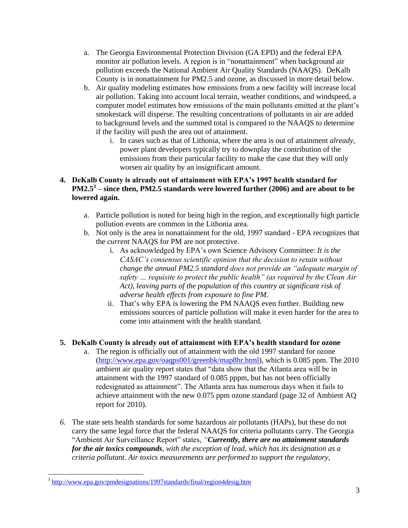- a. The Georgia Environmental Protection Division (GA EPD) and the federal EPA monitor air pollution levels. A region is in "nonattainment" when background air pollution exceeds the National Ambient Air Quality Standards (NAAQS). DeKalb County is in nonattainment for PM2.5 and ozone, as discussed in more detail below.
- b. Air quality modeling estimates how emissions from a new facility will increase local air pollution. Taking into account local terrain, weather conditions, and windspeed, a computer model estimates how emissions of the main pollutants emitted at the plant's smokestack will disperse. The resulting concentrations of pollutants in air are added to background levels and the summed total is compared to the NAAQS to determine if the facility will push the area out of attainment.
	- i. In cases such as that of Lithonia, where the area is out of attainment *already*, power plant developers typically try to downplay the contribution of the emissions from their particular facility to make the case that they will only worsen air quality by an insignificant amount.

# **4. DeKalb County is already out of attainment with EPA's 1997 health standard for PM2.5<sup>3</sup> – since then, PM2.5 standards were lowered further (2006) and are about to be lowered again.**

- a. Particle pollution is noted for being high in the region, and exceptionally high particle pollution events are common in the Lithonia area.
- b. Not only is the area in nonattainment for the old, 1997 standard EPA recognizes that the *current* NAAQS for PM are not protective.
	- i. As acknowledged by EPA's own Science Advisory Committee: *It is the CASAC's consensus scientific opinion that the decision to retain without change the annual PM2.5 standard does not provide an "adequate margin of safety … requisite to protect the public health" (as required by the Clean Air Act), leaving parts of the population of this country at significant risk of adverse health effects from exposure to fine PM.*
	- ii. That's why EPA is lowering the PM NAAQS even further. Building new emissions sources of particle pollution will make it even harder for the area to come into attainment with the health standard.

# **5. DeKalb County is already out of attainment with EPA's health standard for ozone**

- a. The region is officially out of attainment with the old 1997 standard for ozone [\(http://www.epa.gov/oaqps001/greenbk/map8hr.html\)](http://www.epa.gov/oaqps001/greenbk/map8hr.html), which is 0.085 ppm. The 2010 ambient air quality report states that "data show that the Atlanta area will be in attainment with the 1997 standard of 0.085 pppm, but has not been officially redesignated as attainment". The Atlanta area has numerous days when it fails to achieve attainment with the new 0.075 ppm ozone standard (page 32 of Ambient AQ report for 2010).
- *6.* The state sets health standards for some hazardous air pollutants (HAPs), but these do not carry the same legal force that the federal NAAQS for criteria pollutants carry. The Georgia "Ambient Air Surveillance Report" states, *"Currently, there are no attainment standards for the air toxics compounds, with the exception of lead, which has its designation as a criteria pollutant. Air toxics measurements are performed to support the regulatory,*

<sup>&</sup>lt;sup>3</sup> <http://www.epa.gov/pmdesignations/1997standards/final/region4desig.htm>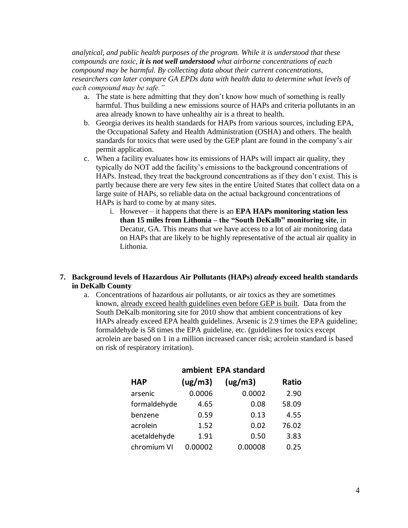*analytical, and public health purposes of the program. While it is understood that these compounds are toxic, it is not well understood what airborne concentrations of each compound may be harmful. By collecting data about their current concentrations, researchers can later compare GA EPDs data with health data to determine what levels of each compound may be safe."*

- a. The state is here admitting that they don't know how much of something is really harmful. Thus building a new emissions source of HAPs and criteria pollutants in an area already known to have unhealthy air is a threat to health.
- b. Georgia derives its health standards for HAPs from various sources, including EPA, the Occupational Safety and Health Administration (OSHA) and others. The health standards for toxics that were used by the GEP plant are found in the company's air permit application.
- c. When a facility evaluates how its emissions of HAPs will impact air quality, they typically do NOT add the facility's emissions to the background concentrations of HAPs. Instead, they treat the background concentrations as if they don't exist. This is partly because there are very few sites in the entire United States that collect data on a large suite of HAPs, so reliable data on the actual background concentrations of HAPs is hard to come by at many sites.
	- i. However it happens that there is an **EPA HAPs monitoring station less than 15 miles from Lithonia – the "South DeKalb" monitoring site**, in Decatur, GA. This means that we have access to a lot of air monitoring data on HAPs that are likely to be highly representative of the actual air quality in Lithonia.

## **7. Background levels of Hazardous Air Pollutants (HAPs)** *already* **exceed health standards in DeKalb County**

a. Concentrations of hazardous air pollutants, or air toxics as they are sometimes known, already exceed health guidelines even before GEP is built. Data from the South DeKalb monitoring site for 2010 show that ambient concentrations of key HAPs already exceed EPA health guidelines. Arsenic is 2.9 times the EPA guideline; formaldehyde is 58 times the EPA guideline, etc. (guidelines for toxics except acrolein are based on 1 in a million increased cancer risk; acrolein standard is based on risk of respiratory irritation).

|              |         | ambient EPA standard |       |
|--------------|---------|----------------------|-------|
| <b>HAP</b>   | (ug/m3) | (ug/m3)              | Ratio |
| arsenic      | 0.0006  | 0.0002               | 2.90  |
| formaldehyde | 4.65    | 0.08                 | 58.09 |
| benzene      | 0.59    | 0.13                 | 4.55  |
| acrolein     | 1.52    | 0.02                 | 76.02 |
| acetaldehyde | 1.91    | 0.50                 | 3.83  |
| chromium VI  | 0.00002 | 0.00008              | 0.25  |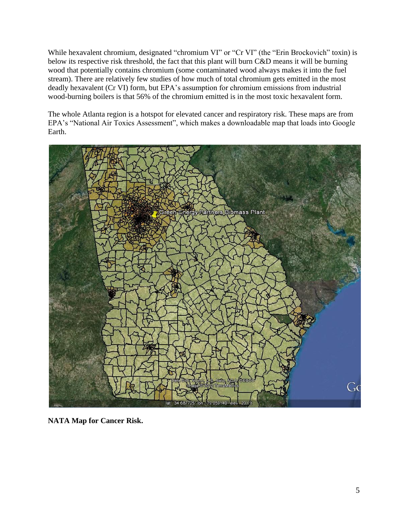While hexavalent chromium, designated "chromium VI" or "Cr VI" (the "Erin Brockovich" toxin) is below its respective risk threshold, the fact that this plant will burn C&D means it will be burning wood that potentially contains chromium (some contaminated wood always makes it into the fuel stream). There are relatively few studies of how much of total chromium gets emitted in the most deadly hexavalent (Cr VI) form, but EPA's assumption for chromium emissions from industrial wood-burning boilers is that 56% of the chromium emitted is in the most toxic hexavalent form.

The whole Atlanta region is a hotspot for elevated cancer and respiratory risk. These maps are from EPA's "National Air Toxics Assessment", which makes a downloadable map that loads into Google Earth.



**NATA Map for Cancer Risk.**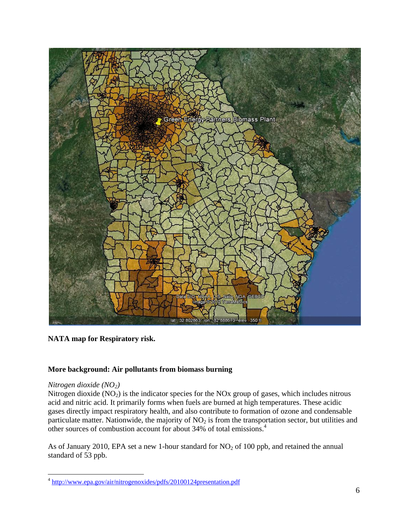

**NATA map for Respiratory risk.** 

## **More background: Air pollutants from biomass burning**

## *Nitrogen dioxide (NO2)*

Nitrogen dioxide  $(NO<sub>2</sub>)$  is the indicator species for the NOx group of gases, which includes nitrous acid and nitric acid. It primarily forms when fuels are burned at high temperatures. These acidic gases directly impact respiratory health, and also contribute to formation of ozone and condensable particulate matter. Nationwide, the majority of  $NO<sub>2</sub>$  is from the transportation sector, but utilities and other sources of combustion account for about 34% of total emissions.<sup>4</sup>

As of January 2010, EPA set a new 1-hour standard for  $NO<sub>2</sub>$  of 100 ppb, and retained the annual standard of 53 ppb.

<sup>&</sup>lt;sup>4</sup> <http://www.epa.gov/air/nitrogenoxides/pdfs/20100124presentation.pdf>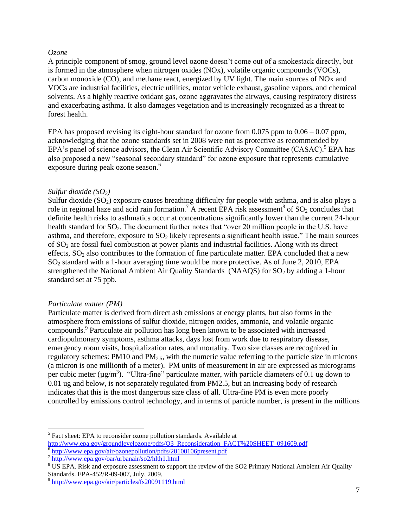#### *Ozone*

A principle component of smog, ground level ozone doesn't come out of a smokestack directly, but is formed in the atmosphere when nitrogen oxides (NOx), volatile organic compounds (VOCs), carbon monoxide (CO), and methane react, energized by UV light. The main sources of NOx and VOCs are industrial facilities, electric utilities, motor vehicle exhaust, gasoline vapors, and chemical solvents. As a highly reactive oxidant gas, ozone aggravates the airways, causing respiratory distress and exacerbating asthma. It also damages vegetation and is increasingly recognized as a threat to forest health.

EPA has proposed revising its eight-hour standard for ozone from 0.075 ppm to 0.06 – 0.07 ppm, acknowledging that the ozone standards set in 2008 were not as protective as recommended by EPA's panel of science advisors, the Clean Air Scientific Advisory Committee (CASAC).<sup>5</sup> EPA has also proposed a new "seasonal secondary standard" for ozone exposure that represents cumulative exposure during peak ozone season.<sup>6</sup>

## *Sulfur dioxide (SO2)*

Sulfur dioxide  $(SO_2)$  exposure causes breathing difficulty for people with asthma, and is also plays a role in regional haze and acid rain formation.<sup>7</sup> A recent EPA risk assessment<sup>8</sup> of  $SO_2$  concludes that definite health risks to asthmatics occur at concentrations significantly lower than the current 24-hour health standard for SO<sub>2</sub>. The document further notes that "over 20 million people in the U.S. have asthma, and therefore, exposure to  $SO<sub>2</sub>$  likely represents a significant health issue." The main sources of  $SO<sub>2</sub>$  are fossil fuel combustion at power plants and industrial facilities. Along with its direct effects,  $SO_2$  also contributes to the formation of fine particulate matter. EPA concluded that a new SO<sup>2</sup> standard with a 1-hour averaging time would be more protective. As of June 2, 2010, EPA strengthened the National Ambient Air Quality Standards (NAAQS) for  $SO_2$  by adding a 1-hour standard set at 75 ppb.

#### *Particulate matter (PM)*

Particulate matter is derived from direct ash emissions at energy plants, but also forms in the atmosphere from emissions of sulfur dioxide, nitrogen oxides, ammonia, and volatile organic compounds.<sup>9</sup> Particulate air pollution has long been known to be associated with increased cardiopulmonary symptoms, asthma attacks, days lost from work due to respiratory disease, emergency room visits, hospitalization rates, and mortality. Two size classes are recognized in regulatory schemes: PM10 and PM $_{2.5}$ , with the numeric value referring to the particle size in microns (a micron is one millionth of a meter). PM units of measurement in air are expressed as micrograms per cubic meter ( $\mu$ g/m<sup>3</sup>). "Ultra-fine" particulate matter, with particle diameters of 0.1 ug down to 0.01 ug and below, is not separately regulated from PM2.5, but an increasing body of research indicates that this is the most dangerous size class of all. Ultra-fine PM is even more poorly controlled by emissions control technology, and in terms of particle number, is present in the millions

 $\overline{a}$ <sup>5</sup> Fact sheet: EPA to reconsider ozone pollution standards. Available at [http://www.epa.gov/groundlevelozone/pdfs/O3\\_Reconsideration\\_FACT%20SHEET\\_091609.pdf](http://www.epa.gov/groundlevelozone/pdfs/O3_Reconsideration_FACT%20SHEET_091609.pdf)

<sup>&</sup>lt;sup>6</sup> <http://www.epa.gov/air/ozonepollution/pdfs/20100106present.pdf>

<sup>7</sup> <http://www.epa.gov/oar/urbanair/so2/hlth1.html>

<sup>&</sup>lt;sup>8</sup> US EPA. Risk and exposure assessment to support the review of the SO2 Primary National Ambient Air Quality Standards. EPA-452/R-09-007, July, 2009.

<sup>&</sup>lt;sup>9</sup> <http://www.epa.gov/air/particles/fs20091119.html>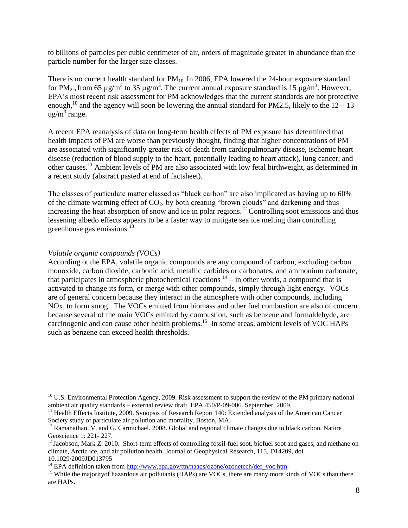to billions of particles per cubic centimeter of air, orders of magnitude greater in abundance than the particle number for the larger size classes.

There is no current health standard for  $PM_{10}$  In 2006, EPA lowered the 24-hour exposure standard for PM<sub>2.5</sub> from 65  $\mu$ g/m<sup>3</sup> to 35  $\mu$ g/m<sup>3</sup>. The current annual exposure standard is 15  $\mu$ g/m<sup>3</sup>. However, EPA's most recent risk assessment for PM acknowledges that the current standards are not protective enough,<sup>10</sup> and the agency will soon be lowering the annual standard for PM2.5, likely to the  $12 - 13$  $\frac{1}{2}$  range.

A recent EPA reanalysis of data on long-term health effects of PM exposure has determined that health impacts of PM are worse than previously thought, finding that higher concentrations of PM are associated with significantly greater risk of death from cardiopulmonary disease, ischemic heart disease (reduction of blood supply to the heart, potentially leading to heart attack), lung cancer, and other causes.<sup>11</sup> Ambient levels of PM are also associated with low fetal birthweight, as determined in a recent study (abstract pasted at end of factsheet).

The classes of particulate matter classed as "black carbon" are also implicated as having up to 60% of the climate warming effect of  $CO<sub>2</sub>$ , by both creating "brown clouds" and darkening and thus increasing the heat absorption of snow and ice in polar regions.<sup>12</sup> Controlling soot emissions and thus lessening albedo effects appears to be a faster way to mitigate sea ice melting than controlling greenhouse gas emissions. $13$ 

## *Volatile organic compounds (VOCs)*

 $\overline{a}$ 

According ot the EPA, volatile organic compounds are any compound of carbon, excluding carbon monoxide, carbon dioxide, carbonic acid, metallic carbides or carbonates, and ammonium carbonate, that participates in atmospheric photochemical reactions  $14$  – in other words, a compound that is activated to change its form, or merge with other compounds, simply through light energy. VOCs are of general concern because they interact in the atmosphere with other compounds, including NOx, to form smog. The VOCs emitted from biomass and other fuel combustion are also of concern because several of the main VOCs emitted by combustion, such as benzene and formaldehyde, are carcinogenic and can cause other health problems.<sup>15</sup> In some areas, ambient levels of VOC HAPs such as benzene can exceed health thresholds.

<sup>&</sup>lt;sup>10</sup> U.S. Environmental Protection Agency, 2009. Risk assessment to support the review of the PM primary national ambient air quality standards – external review draft. EPA 450/P-09-006. September, 2009.

<sup>&</sup>lt;sup>11</sup> Health Effects Institute, 2009. Synopsis of Research Report 140: Extended analysis of the American Cancer Society study of particulate air pollution and mortality. Boston, MA.

<sup>&</sup>lt;sup>12</sup> Ramanathan, V. and G. Carmichael. 2008. Global and regional climate changes due to black carbon. Nature Geoscience 1: 221- 227.

 $<sup>13</sup>$  Jacobson, Mark Z. 2010. Short-term effects of controlling fossil-fuel soot, biofuel soot and gases, and methane on</sup> climate, Arctic ice, and air pollution health. Journal of Geophysical Research, 115, D14209, doi 10.1029/2009JD013795

<sup>&</sup>lt;sup>14</sup> EPA definition taken from [http://www.epa.gov/ttn/naaqs/ozone/ozonetech/def\\_voc.htm](http://www.epa.gov/ttn/naaqs/ozone/ozonetech/def_voc.htm)

<sup>&</sup>lt;sup>15</sup> While the majority of hazardous air pollutants (HAPs) are VOCs, there are many more kinds of VOCs than there are HAPs.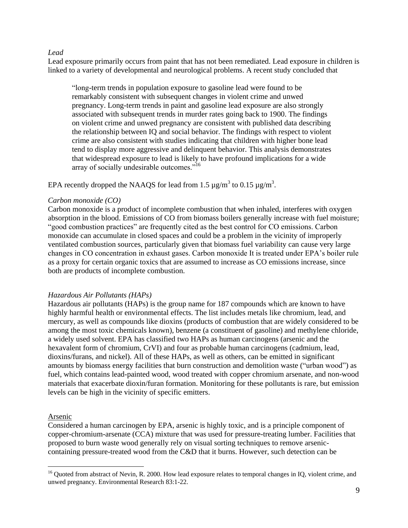#### *Lead*

Lead exposure primarily occurs from paint that has not been remediated. Lead exposure in children is linked to a variety of developmental and neurological problems. A recent study concluded that

"long-term trends in population exposure to gasoline lead were found to be remarkably consistent with subsequent changes in violent crime and unwed pregnancy. Long-term trends in paint and gasoline lead exposure are also strongly associated with subsequent trends in murder rates going back to 1900. The findings on violent crime and unwed pregnancy are consistent with published data describing the relationship between IQ and social behavior. The findings with respect to violent crime are also consistent with studies indicating that children with higher bone lead tend to display more aggressive and delinquent behavior. This analysis demonstrates that widespread exposure to lead is likely to have profound implications for a wide array of socially undesirable outcomes."<sup>16</sup>

EPA recently dropped the NAAQS for lead from 1.5  $\mu$ g/m<sup>3</sup> to 0.15  $\mu$ g/m<sup>3</sup>.

#### *Carbon monoxide (CO)*

Carbon monoxide is a product of incomplete combustion that when inhaled, interferes with oxygen absorption in the blood. Emissions of CO from biomass boilers generally increase with fuel moisture; "good combustion practices" are frequently cited as the best control for CO emissions. Carbon monoxide can accumulate in closed spaces and could be a problem in the vicinity of improperly ventilated combustion sources, particularly given that biomass fuel variability can cause very large changes in CO concentration in exhaust gases. Carbon monoxide It is treated under EPA's boiler rule as a proxy for certain organic toxics that are assumed to increase as CO emissions increase, since both are products of incomplete combustion.

#### *Hazardous Air Pollutants (HAPs)*

Hazardous air pollutants (HAPs) is the group name for 187 compounds which are known to have highly harmful health or environmental effects. The list includes metals like chromium, lead, and mercury, as well as compounds like dioxins (products of combustion that are widely considered to be among the most toxic chemicals known), benzene (a constituent of gasoline) and methylene chloride, a widely used solvent. EPA has classified two HAPs as human carcinogens (arsenic and the hexavalent form of chromium, CrVI) and four as probable human carcinogens (cadmium, lead, dioxins/furans, and nickel). All of these HAPs, as well as others, can be emitted in significant amounts by biomass energy facilities that burn construction and demolition waste ("urban wood") as fuel, which contains lead-painted wood, wood treated with copper chromium arsenate, and non-wood materials that exacerbate dioxin/furan formation. Monitoring for these pollutants is rare, but emission levels can be high in the vicinity of specific emitters.

#### Arsenic

 $\overline{a}$ 

Considered a human carcinogen by EPA, arsenic is highly toxic, and is a principle component of copper-chromium-arsenate (CCA) mixture that was used for pressure-treating lumber. Facilities that proposed to burn waste wood generally rely on visual sorting techniques to remove arseniccontaining pressure-treated wood from the C&D that it burns. However, such detection can be

 $16$  Quoted from abstract of Nevin, R. 2000. How lead exposure relates to temporal changes in IQ, violent crime, and unwed pregnancy. Environmental Research 83:1-22.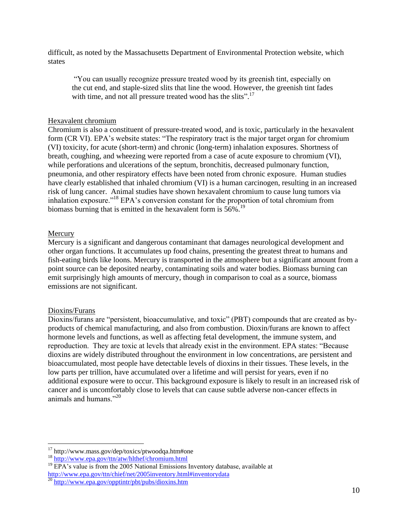difficult, as noted by the Massachusetts Department of Environmental Protection website, which states

"You can usually recognize pressure treated wood by its greenish tint, especially on the cut end, and staple-sized slits that line the wood. However, the greenish tint fades with time, and not all pressure treated wood has the slits".<sup>17</sup>

## Hexavalent chromium

Chromium is also a constituent of pressure-treated wood, and is toxic, particularly in the hexavalent form (CR VI). EPA's website states: "The respiratory tract is the major target organ for chromium (VI) toxicity, for acute (short-term) and chronic (long-term) inhalation exposures. Shortness of breath, coughing, and wheezing were reported from a case of acute exposure to chromium (VI), while perforations and ulcerations of the septum, bronchitis, decreased pulmonary function, pneumonia, and other respiratory effects have been noted from chronic exposure. Human studies have clearly established that inhaled chromium (VI) is a human carcinogen, resulting in an increased risk of lung cancer. Animal studies have shown hexavalent chromium to cause lung tumors via inhalation exposure."<sup>18</sup> EPA's conversion constant for the proportion of total chromium from biomass burning that is emitted in the hexavalent form is 56%.<sup>19</sup>

## Mercury

Mercury is a significant and dangerous contaminant that damages neurological development and other organ functions. It accumulates up food chains, presenting the greatest threat to humans and fish-eating birds like loons. Mercury is transported in the atmosphere but a significant amount from a point source can be deposited nearby, contaminating soils and water bodies. Biomass burning can emit surprisingly high amounts of mercury, though in comparison to coal as a source, biomass emissions are not significant.

#### Dioxins/Furans

 $\overline{a}$ 

Dioxins/furans are "persistent, bioaccumulative, and toxic" (PBT) compounds that are created as byproducts of chemical manufacturing, and also from combustion. Dioxin/furans are known to affect hormone levels and functions, as well as affecting fetal development, the immune system, and reproduction. They are toxic at levels that already exist in the environment. EPA states: "Because dioxins are widely distributed throughout the environment in low concentrations, are persistent and bioaccumulated, most people have detectable levels of dioxins in their tissues. These levels, in the low parts per trillion, have accumulated over a lifetime and will persist for years, even if no additional exposure were to occur. This background exposure is likely to result in an increased risk of cancer and is uncomfortably close to levels that can cause subtle adverse non-cancer effects in animals and humans."<sup>20</sup>

<sup>17</sup> http://www.mass.gov/dep/toxics/ptwoodqa.htm#one

<sup>&</sup>lt;sup>18</sup> <http://www.epa.gov/ttn/atw/hlthef/chromium.html>

<sup>&</sup>lt;sup>19</sup> EPA's value is from the 2005 National Emissions Inventory database, available at <http://www.epa.gov/ttn/chief/net/2005inventory.html#inventorydata>

<sup>&</sup>lt;sup>20</sup> <http://www.epa.gov/opptintr/pbt/pubs/dioxins.htm>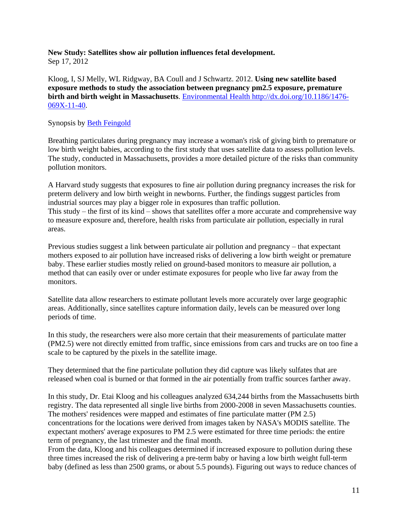# **New Study: Satellites show air pollution influences fetal development.**

Sep 17, 2012

Kloog, I, SJ Melly, WL Ridgway, BA Coull and J Schwartz. 2012. **Using new satellite based exposure methods to study the association between pregnancy pm2.5 exposure, premature birth and birth weight in Massachusetts**. [Environmental Health http://dx.doi.org/10.1186/1476-](http://www.ehjournal.net/content/11/1/40/abstract) [069X-11-40.](http://www.ehjournal.net/content/11/1/40/abstract)

# Synopsis by [Beth Feingold](http://www.environmentalhealthnews.org/ehs/Members/bfeingold)

Breathing particulates during pregnancy may increase a woman's risk of giving birth to premature or low birth weight babies, according to the first study that uses satellite data to assess pollution levels. The study, conducted in Massachusetts, provides a more detailed picture of the risks than community pollution monitors.

A Harvard study suggests that exposures to fine air pollution during pregnancy increases the risk for preterm delivery and low birth weight in newborns. Further, the findings suggest particles from industrial sources may play a bigger role in exposures than traffic pollution. This study – the first of its kind – shows that satellites offer a more accurate and comprehensive way to measure exposure and, therefore, health risks from particulate air pollution, especially in rural areas.

Previous studies suggest a link between particulate air pollution and pregnancy – that expectant mothers exposed to air pollution have increased risks of delivering a low birth weight or premature baby. These earlier studies mostly relied on ground-based monitors to measure air pollution, a method that can easily over or under estimate exposures for people who live far away from the monitors.

Satellite data allow researchers to estimate pollutant levels more accurately over large geographic areas. Additionally, since satellites capture information daily, levels can be measured over long periods of time.

In this study, the researchers were also more certain that their measurements of particulate matter (PM2.5) were not directly emitted from traffic, since emissions from cars and trucks are on too fine a scale to be captured by the pixels in the satellite image.

They determined that the fine particulate pollution they did capture was likely sulfates that are released when coal is burned or that formed in the air potentially from traffic sources farther away.

In this study, Dr. Etai Kloog and his colleagues analyzed 634,244 births from the Massachusetts birth registry. The data represented all single live births from 2000-2008 in seven Massachusetts counties. The mothers' residences were mapped and estimates of fine particulate matter (PM 2.5) concentrations for the locations were derived from images taken by NASA's MODIS satellite. The expectant mothers' average exposures to PM 2.5 were estimated for three time periods: the entire term of pregnancy, the last trimester and the final month.

From the data, Kloog and his colleagues determined if increased exposure to pollution during these three times increased the risk of delivering a pre-term baby or having a low birth weight full-term baby (defined as less than 2500 grams, or about 5.5 pounds). Figuring out ways to reduce chances of